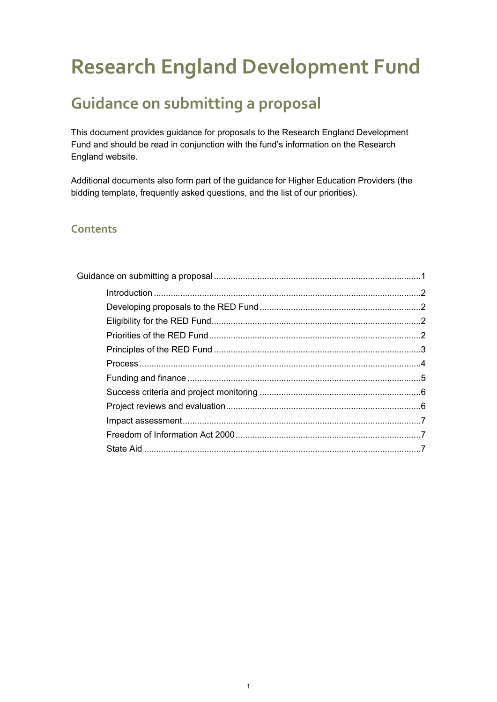# **Research England Development Fund**

# <span id="page-0-0"></span>**Guidance on submitting a proposal**

This document provides guidance for proposals to the Research England Development Fund and should be read in conjunction with the fund's information on the Research England website.

Additional documents also form part of the guidance for Higher Education Providers (the bidding template, frequently asked questions, and the list of our priorities).

#### **Contents**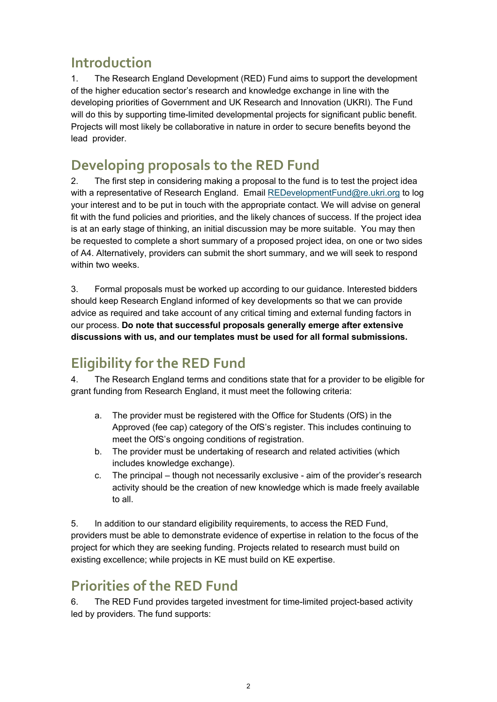# <span id="page-1-0"></span>**Introduction**

1. The Research England Development (RED) Fund aims to support the development of the higher education sector's research and knowledge exchange in line with the developing priorities of Government and UK Research and Innovation (UKRI). The Fund will do this by supporting time-limited developmental projects for significant public benefit. Projects will most likely be collaborative in nature in order to secure benefits beyond the lead provider.

# <span id="page-1-1"></span>**Developing proposals to the RED Fund**

2. The first step in considering making a proposal to the fund is to test the project idea with a representative of Research England. Email [REDevelopmentFund@re.ukri.org](mailto:REDevelopmentFund@re.ukri.org) to log your interest and to be put in touch with the appropriate contact. We will advise on general fit with the fund policies and priorities, and the likely chances of success. If the project idea is at an early stage of thinking, an initial discussion may be more suitable. You may then be requested to complete a short summary of a proposed project idea, on one or two sides of A4. Alternatively, providers can submit the short summary, and we will seek to respond within two weeks.

3. Formal proposals must be worked up according to our guidance. Interested bidders should keep Research England informed of key developments so that we can provide advice as required and take account of any critical timing and external funding factors in our process. **Do note that successful proposals generally emerge after extensive discussions with us, and our templates must be used for all formal submissions.**

# <span id="page-1-2"></span>**Eligibility for the RED Fund**

4. The Research England terms and conditions state that for a provider to be eligible for grant funding from Research England, it must meet the following criteria:

- a. The provider must be registered with the Office for Students (OfS) in the Approved (fee cap) category of the OfS's register. This includes continuing to meet the OfS's ongoing conditions of registration.
- b. The provider must be undertaking of research and related activities (which includes knowledge exchange).
- c. The principal though not necessarily exclusive aim of the provider's research activity should be the creation of new knowledge which is made freely available to all.

5. In addition to our standard eligibility requirements, to access the RED Fund, providers must be able to demonstrate evidence of expertise in relation to the focus of the project for which they are seeking funding. Projects related to research must build on existing excellence; while projects in KE must build on KE expertise.

# <span id="page-1-3"></span>**Priorities of the RED Fund**

6. The RED Fund provides targeted investment for time-limited project-based activity led by providers. The fund supports: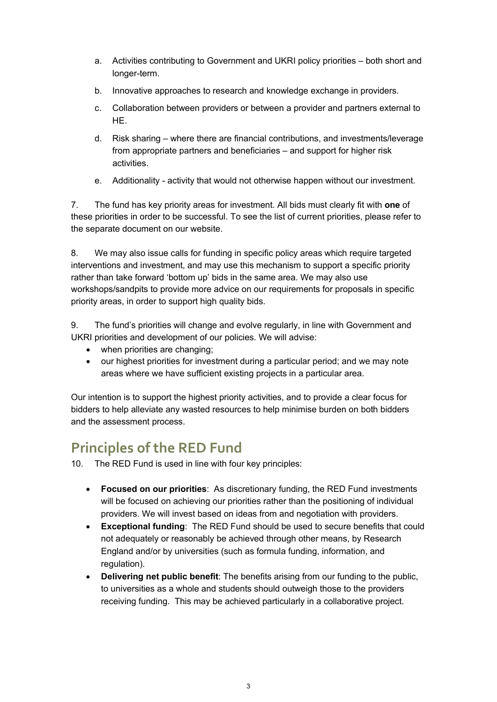- a. Activities contributing to Government and UKRI policy priorities both short and longer-term.
- b. Innovative approaches to research and knowledge exchange in providers.
- c. Collaboration between providers or between a provider and partners external to HE.
- d. Risk sharing where there are financial contributions, and investments/leverage from appropriate partners and beneficiaries – and support for higher risk activities.
- e. Additionality activity that would not otherwise happen without our investment.

7. The fund has key priority areas for investment. All bids must clearly fit with **one** of these priorities in order to be successful. To see the list of current priorities, please refer to the separate document on our website.

8. We may also issue calls for funding in specific policy areas which require targeted interventions and investment, and may use this mechanism to support a specific priority rather than take forward 'bottom up' bids in the same area. We may also use workshops/sandpits to provide more advice on our requirements for proposals in specific priority areas, in order to support high quality bids.

9. The fund's priorities will change and evolve regularly, in line with Government and UKRI priorities and development of our policies. We will advise:

- when priorities are changing;
- our highest priorities for investment during a particular period; and we may note areas where we have sufficient existing projects in a particular area.

Our intention is to support the highest priority activities, and to provide a clear focus for bidders to help alleviate any wasted resources to help minimise burden on both bidders and the assessment process.

### <span id="page-2-0"></span>**Principles of the RED Fund**

- 10. The RED Fund is used in line with four key principles:
	- **Focused on our priorities**: As discretionary funding, the RED Fund investments will be focused on achieving our priorities rather than the positioning of individual providers. We will invest based on ideas from and negotiation with providers.
	- **Exceptional funding**: The RED Fund should be used to secure benefits that could not adequately or reasonably be achieved through other means, by Research England and/or by universities (such as formula funding, information, and regulation).
	- **Delivering net public benefit**: The benefits arising from our funding to the public, to universities as a whole and students should outweigh those to the providers receiving funding. This may be achieved particularly in a collaborative project.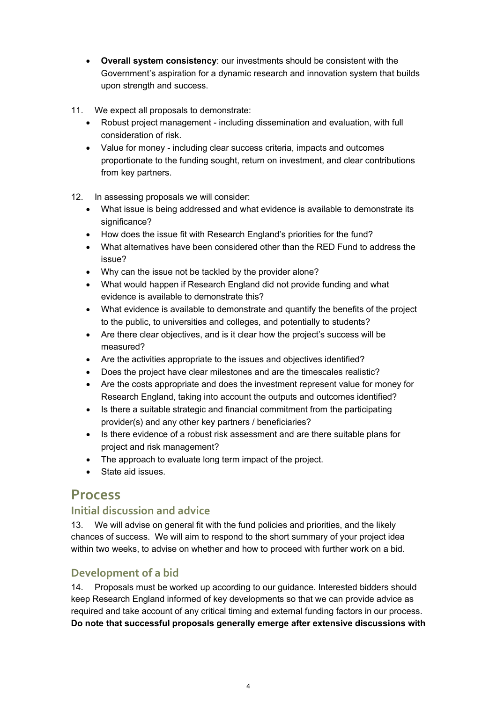- **Overall system consistency**: our investments should be consistent with the Government's aspiration for a dynamic research and innovation system that builds upon strength and success.
- 11. We expect all proposals to demonstrate:
	- Robust project management including dissemination and evaluation, with full consideration of risk.
	- Value for money including clear success criteria, impacts and outcomes proportionate to the funding sought, return on investment, and clear contributions from key partners.
- 12. In assessing proposals we will consider:
	- What issue is being addressed and what evidence is available to demonstrate its significance?
	- How does the issue fit with Research England's priorities for the fund?
	- What alternatives have been considered other than the RED Fund to address the issue?
	- Why can the issue not be tackled by the provider alone?
	- What would happen if Research England did not provide funding and what evidence is available to demonstrate this?
	- What evidence is available to demonstrate and quantify the benefits of the project to the public, to universities and colleges, and potentially to students?
	- Are there clear objectives, and is it clear how the project's success will be measured?
	- Are the activities appropriate to the issues and objectives identified?
	- Does the project have clear milestones and are the timescales realistic?
	- Are the costs appropriate and does the investment represent value for money for Research England, taking into account the outputs and outcomes identified?
	- Is there a suitable strategic and financial commitment from the participating provider(s) and any other key partners / beneficiaries?
	- Is there evidence of a robust risk assessment and are there suitable plans for project and risk management?
	- The approach to evaluate long term impact of the project.
	- State aid issues.

### <span id="page-3-0"></span>**Process**

#### **Initial discussion and advice**

13. We will advise on general fit with the fund policies and priorities, and the likely chances of success. We will aim to respond to the short summary of your project idea within two weeks, to advise on whether and how to proceed with further work on a bid.

#### **Development of a bid**

14. Proposals must be worked up according to our guidance. Interested bidders should keep Research England informed of key developments so that we can provide advice as required and take account of any critical timing and external funding factors in our process. **Do note that successful proposals generally emerge after extensive discussions with**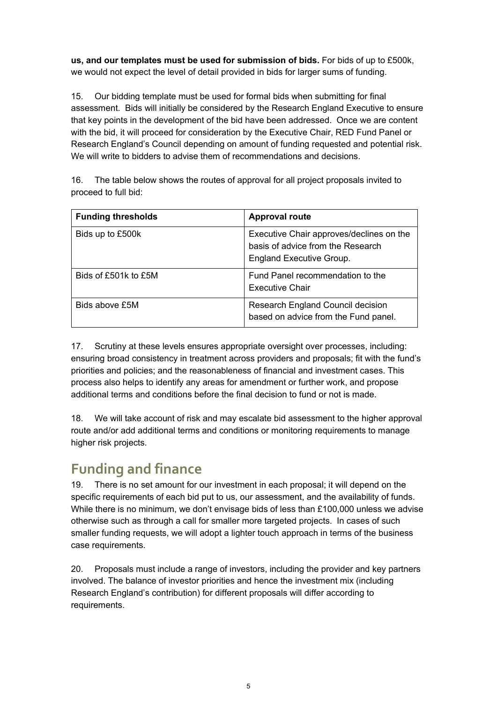**us, and our templates must be used for submission of bids.** For bids of up to £500k, we would not expect the level of detail provided in bids for larger sums of funding.

15. Our bidding template must be used for formal bids when submitting for final assessment. Bids will initially be considered by the Research England Executive to ensure that key points in the development of the bid have been addressed. Once we are content with the bid, it will proceed for consideration by the Executive Chair, RED Fund Panel or Research England's Council depending on amount of funding requested and potential risk. We will write to bidders to advise them of recommendations and decisions.

16. The table below shows the routes of approval for all project proposals invited to proceed to full bid:

| <b>Funding thresholds</b> | <b>Approval route</b>                                                                                            |
|---------------------------|------------------------------------------------------------------------------------------------------------------|
| Bids up to £500k          | Executive Chair approves/declines on the<br>basis of advice from the Research<br><b>England Executive Group.</b> |
| Bids of £501k to £5M      | Fund Panel recommendation to the<br><b>Executive Chair</b>                                                       |
| Bids above £5M            | Research England Council decision<br>based on advice from the Fund panel.                                        |

17. Scrutiny at these levels ensures appropriate oversight over processes, including: ensuring broad consistency in treatment across providers and proposals; fit with the fund's priorities and policies; and the reasonableness of financial and investment cases. This process also helps to identify any areas for amendment or further work, and propose additional terms and conditions before the final decision to fund or not is made.

18. We will take account of risk and may escalate bid assessment to the higher approval route and/or add additional terms and conditions or monitoring requirements to manage higher risk projects.

# <span id="page-4-0"></span>**Funding and finance**

19. There is no set amount for our investment in each proposal; it will depend on the specific requirements of each bid put to us, our assessment, and the availability of funds. While there is no minimum, we don't envisage bids of less than £100,000 unless we advise otherwise such as through a call for smaller more targeted projects. In cases of such smaller funding requests, we will adopt a lighter touch approach in terms of the business case requirements.

20. Proposals must include a range of investors, including the provider and key partners involved. The balance of investor priorities and hence the investment mix (including Research England's contribution) for different proposals will differ according to requirements.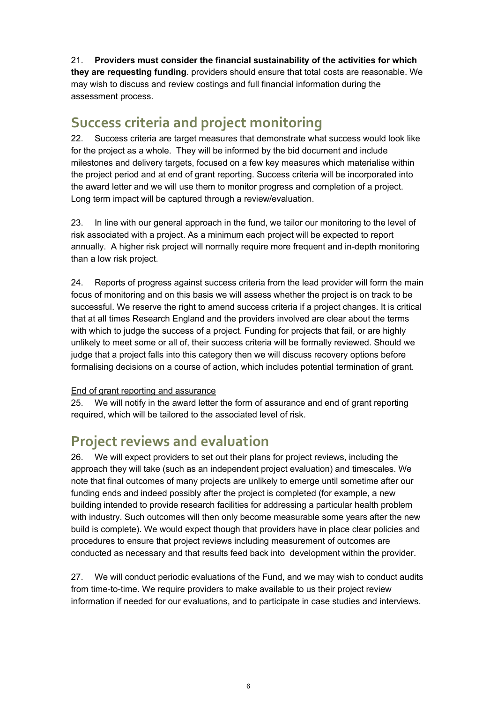21. **Providers must consider the financial sustainability of the activities for which they are requesting funding**. providers should ensure that total costs are reasonable. We may wish to discuss and review costings and full financial information during the assessment process.

### <span id="page-5-0"></span>**Success criteria and project monitoring**

22. Success criteria are target measures that demonstrate what success would look like for the project as a whole. They will be informed by the bid document and include milestones and delivery targets, focused on a few key measures which materialise within the project period and at end of grant reporting. Success criteria will be incorporated into the award letter and we will use them to monitor progress and completion of a project. Long term impact will be captured through a review/evaluation.

23. In line with our general approach in the fund, we tailor our monitoring to the level of risk associated with a project. As a minimum each project will be expected to report annually. A higher risk project will normally require more frequent and in-depth monitoring than a low risk project.

24. Reports of progress against success criteria from the lead provider will form the main focus of monitoring and on this basis we will assess whether the project is on track to be successful. We reserve the right to amend success criteria if a project changes. It is critical that at all times Research England and the providers involved are clear about the terms with which to judge the success of a project. Funding for projects that fail, or are highly unlikely to meet some or all of, their success criteria will be formally reviewed. Should we judge that a project falls into this category then we will discuss recovery options before formalising decisions on a course of action, which includes potential termination of grant.

#### End of grant reporting and assurance

25. We will notify in the award letter the form of assurance and end of grant reporting required, which will be tailored to the associated level of risk.

### <span id="page-5-1"></span>**Project reviews and evaluation**

26. We will expect providers to set out their plans for project reviews, including the approach they will take (such as an independent project evaluation) and timescales. We note that final outcomes of many projects are unlikely to emerge until sometime after our funding ends and indeed possibly after the project is completed (for example, a new building intended to provide research facilities for addressing a particular health problem with industry. Such outcomes will then only become measurable some years after the new build is complete). We would expect though that providers have in place clear policies and procedures to ensure that project reviews including measurement of outcomes are conducted as necessary and that results feed back into development within the provider.

27. We will conduct periodic evaluations of the Fund, and we may wish to conduct audits from time-to-time. We require providers to make available to us their project review information if needed for our evaluations, and to participate in case studies and interviews.